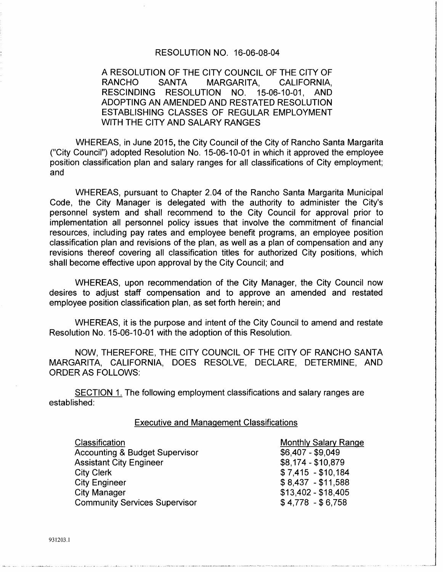#### RESOLUTION NO. 16-06-08-04

## A RESOLUTION OF THE CITY COUNCIL OF THE CITY OF RANCHO SANTA MARGARITA, CALIFORNIA, RESCINDING RESOLUTION NO. 15-06-10-01, AND ADOPTING AN AMENDED AND RESTATED RESOLUTION ESTABLISHING CLASSES OF REGULAR EMPLOYMENT WITH THE CITY AND SALARY RANGES

WHEREAS, in June 2015, the City Council of the City of Rancho Santa Margarita ("City Council") adopted Resolution No. 15-06-10-01 in which it approved the employee position classification plan and salary ranges for all classifications of City employment; and

WHEREAS, pursuant to Chapter 2.04 of the Rancho Santa Margarita Municipal Code, the City Manager is delegated with the authority to administer the City's personnel system and shall recommend to the City Council for approval prior to implementation all personnel policy issues that involve the commitment of financial resources, including pay rates and employee benefit programs, an employee position classification plan and revisions of the plan, as well as a plan of compensation and any revisions thereof covering all classification titles for authorized City positions, which shall become effective upon approval by the City Council; and

WHEREAS, upon recommendation of the City Manager, the City Council now desires to adjust staff compensation and to approve an amended and restated employee position classification plan, as set forth herein; and

WHEREAS, it is the purpose and intent of the City Council to amend and restate Resolution No. 15-06-10-01 with the adoption of this Resolution.

NOW, THEREFORE, THE CITY COUNCIL OF THE CITY OF RANCHO SANTA MARGARITA, CALIFORNIA, DOES RESOLVE, DECLARE, DETERMINE, AND ORDER AS FOLLOWS:

SECTION 1. The following employment classifications and salary ranges are established:

#### Executive and Management Classifications

| Classification                            |  |
|-------------------------------------------|--|
| <b>Accounting &amp; Budget Supervisor</b> |  |
| <b>Assistant City Engineer</b>            |  |
| <b>City Clerk</b>                         |  |
| <b>City Engineer</b>                      |  |
| <b>City Manager</b>                       |  |
| <b>Community Services Supervisor</b>      |  |

Monthly Salary Range \$6,407 - \$9,049 \$8,174-\$10,879  $$7,415 - $10,184$ \$ 8,437 - \$11,588 \$13,402- \$18,405 \$4,778 -\$6,758

931203.1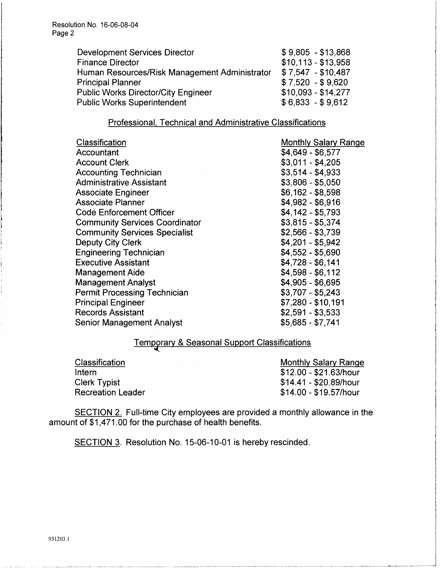Resolution No. 16-06-08-04 Page 2

| <b>Development Services Director</b>          | $$9,805 - $13,868$  |
|-----------------------------------------------|---------------------|
| <b>Finance Director</b>                       | $$10,113 - $13,958$ |
| Human Resources/Risk Management Administrator | $$7,547 - $10,487$  |
| <b>Principal Planner</b>                      | $$7,520 - $9,620$   |
| <b>Public Works Director/City Engineer</b>    | $$10,093 - $14,277$ |
| <b>Public Works Superintendent</b>            | $$6,833 - $9,612$   |
|                                               |                     |

## Professional. Technical and Administrative Classifications

| Classification                        | <b>Monthly Salary Range</b> |
|---------------------------------------|-----------------------------|
| Accountant                            | \$4,649 - \$6,577           |
| <b>Account Clerk</b>                  | $$3,011 - $4,205$           |
| <b>Accounting Technician</b>          | $$3,514 - $4,933$           |
| <b>Administrative Assistant</b>       | $$3,806 - $5,050$           |
| <b>Associate Engineer</b>             | $$6,162 - $8,598$           |
| Associate Planner                     | \$4,982 - \$6,916           |
| <b>Code Enforcement Officer</b>       | $$4,142 - $5,793$           |
| <b>Community Services Coordinator</b> | $$3,815 - $5,374$           |
| <b>Community Services Specialist</b>  | $$2,566 - $3,739$           |
| <b>Deputy City Clerk</b>              | $$4,201 - $5,942$           |
| <b>Engineering Technician</b>         | $$4,552 - $5,690$           |
| <b>Executive Assistant</b>            | $$4,728 - $6,141$           |
| <b>Management Aide</b>                | $$4,598 - $6,112$           |
| <b>Management Analyst</b>             | $$4,905 - $6,695$           |
| <b>Permit Processing Technician</b>   | $$3,707 - $5,243$           |
| <b>Principal Engineer</b>             | $$7,280 - $10,191$          |
| <b>Records Assistant</b>              | $$2,591 - $3,533$           |
| <b>Senior Management Analyst</b>      | $$5,685 - $7,741$           |

# Temporary & Seasonal Support Classifications

Classification Intern Clerk Typist Recreation Leader Monthly Salary Range \$12.00 - \$21.63/hour \$14.41 - \$20.89/hour \$14.00- \$19.57/hour

SECTION 2. Full-time City employees are provided a monthly allowance in the amount of \$1,471.00 for the purchase of health benefits.

SECTION 3. Resolution No. 15-06-10-01 is hereby rescinded.